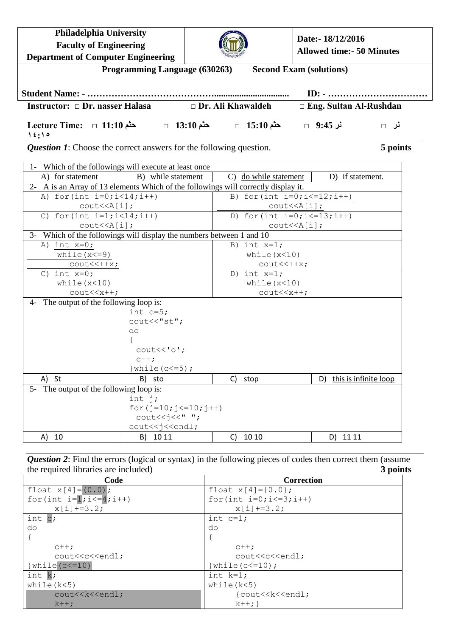| Philadelphia University                                                                                           |                                                                |                          | Date:- 18/12/2016                    |                                             |
|-------------------------------------------------------------------------------------------------------------------|----------------------------------------------------------------|--------------------------|--------------------------------------|---------------------------------------------|
| <b>Faculty of Engineering</b>                                                                                     |                                                                |                          |                                      | <b>Allowed time:- 50 Minutes</b>            |
| <b>Department of Computer Engineering</b>                                                                         |                                                                |                          |                                      |                                             |
|                                                                                                                   | Programming Language (630263)                                  |                          | <b>Second Exam (solutions)</b>       |                                             |
|                                                                                                                   |                                                                |                          |                                      |                                             |
|                                                                                                                   |                                                                |                          |                                      | $ID: - \dots \dots \dots \dots \dots \dots$ |
| Instructor: □ Dr. nasser Halasa                                                                                   |                                                                | $\Box$ Dr. Ali Khawaldeh |                                      | □ Eng. Sultan Al-Rushdan                    |
| نر 9:45 □ مثم 15:10 □ مثم 13:10 □ مثم 13:10 □ مثم 11:10 □ D f (-9:45<br>15:10                                     |                                                                |                          |                                      | نر □                                        |
| <b>Question 1:</b> Choose the correct answers for the following question.                                         |                                                                |                          |                                      | 5 points                                    |
| 1- Which of the followings will execute at least once                                                             |                                                                |                          |                                      |                                             |
| A) for statement                                                                                                  | B) while statement                                             |                          | C) do while statement                | D) if statement.                            |
| 2- A is an Array of 13 elements Which of the followings will correctly display it.                                |                                                                |                          |                                      |                                             |
| A) for $(int i=0; i<14; i++)$                                                                                     |                                                                |                          | B) for $(int i=0; i<=12; i++)$       |                                             |
| $\text{cout} \leq \text{A[i]}$                                                                                    |                                                                |                          | $\text{cout} \leq \text{A}[i];$      |                                             |
| C) for $(int i=1; i<14; i++)$                                                                                     |                                                                |                          | D) for (int $i=0$ ; $i<=13$ ; $i++)$ |                                             |
| $\text{cout} \leq \text{A[i]},$                                                                                   |                                                                |                          | $\text{cout} \leq \text{A}[i];$      |                                             |
| 3- Which of the followings will display the numbers between 1 and 10<br>A) int $x=0$ ;                            |                                                                | B) int $x=1$ ;           |                                      |                                             |
| while $(x < = 9)$                                                                                                 |                                                                |                          | while $(x<10)$                       |                                             |
| $\text{cout} \times \text{++x}$ ;                                                                                 |                                                                |                          | $\text{cout} \times \text{++x}$ ;    |                                             |
| C) int $x=0;$                                                                                                     |                                                                | D) int $x=1$ ;           |                                      |                                             |
| while $(x<10)$                                                                                                    |                                                                |                          | while $(x<10)$                       |                                             |
| $\text{cout} \ll \text{x++}$                                                                                      |                                                                |                          | $\text{cout} \ll \text{x++}$         |                                             |
| The output of the following loop is:<br>$4-$                                                                      |                                                                |                          |                                      |                                             |
|                                                                                                                   | int $c=5$ ;                                                    |                          |                                      |                                             |
|                                                                                                                   | cout<<"st";                                                    |                          |                                      |                                             |
|                                                                                                                   | do                                                             |                          |                                      |                                             |
|                                                                                                                   |                                                                |                          |                                      |                                             |
|                                                                                                                   | $\text{cout} \ll \text{'o'}$ ;                                 |                          |                                      |                                             |
|                                                                                                                   | $c--;$<br>} while $(c < = 5)$ ;                                |                          |                                      |                                             |
| A) St                                                                                                             | B)<br>sto                                                      | C)<br>stop               | D)                                   | this is infinite loop                       |
| The output of the following loop is:<br>$5-$                                                                      |                                                                |                          |                                      |                                             |
|                                                                                                                   | int $j$ ;                                                      |                          |                                      |                                             |
|                                                                                                                   | for $(j=10; j<=10; j++)$                                       |                          |                                      |                                             |
|                                                                                                                   | $\text{count} \leq \text{true}$                                |                          |                                      |                                             |
|                                                                                                                   | cout< <j<<endl;< td=""><td></td><td></td><td></td></j<<endl;<> |                          |                                      |                                             |
| A) 10                                                                                                             | <u> 10 11</u><br>B)                                            | 10 10<br>C)              | D)                                   | 11 11                                       |
|                                                                                                                   |                                                                |                          |                                      |                                             |
| <b>Question 2:</b> Find the errors (logical or syntax) in the following pieces of codes then correct them (assume |                                                                |                          |                                      |                                             |
| the required libraries are included)                                                                              |                                                                |                          |                                      | 3 points                                    |
| Code                                                                                                              |                                                                |                          | Correction                           |                                             |

| Code                                                                               | Correction                           |
|------------------------------------------------------------------------------------|--------------------------------------|
| float $x[4] = (0.0)$ ;                                                             | float $x[4] = \{0.0\}$ ;             |
| for (int $i=1; i<=4; i++)$                                                         | for (int $i=0$ ; $i<=3$ ; $i++)$     |
| $x[i]$ +=3.2;                                                                      | $x[i]$ +=3.2;                        |
| int $c$ ;                                                                          | int $c=1$ :                          |
| do                                                                                 | do                                   |
|                                                                                    |                                      |
| $C++$                                                                              | $C++$ :                              |
| cout< <c<<endl;< td=""><td>cout&lt;<c<<endl;< td=""></c<<endl;<></td></c<<endl;<>  | cout< <c<<endl;< td=""></c<<endl;<>  |
| $\vert$ while $(c<=10)$                                                            | $\}$ while (c $\leq$ =10);           |
| int k;                                                                             | int $k=1$ ;                          |
| while $(k<5)$                                                                      | while $(k<5)$                        |
| cout< <k<<endl;< td=""><td>{cout&lt;<k<<endl;< td=""></k<<endl;<></td></k<<endl;<> | {cout< <k<<endl;< td=""></k<<endl;<> |
| $k++$                                                                              | $k++;$                               |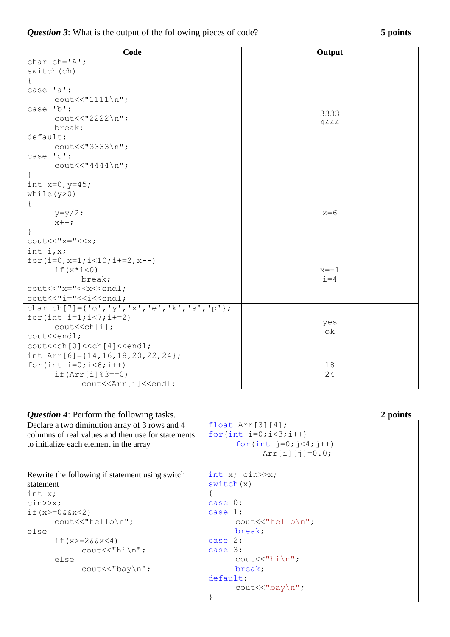| <b>Question 3:</b> What is the output of the following pieces of code? | 5 points |
|------------------------------------------------------------------------|----------|
|------------------------------------------------------------------------|----------|

| Code                                                               | Output  |
|--------------------------------------------------------------------|---------|
| char $ch='A$ ';                                                    |         |
| switch (ch)                                                        |         |
|                                                                    |         |
| case 'a':                                                          |         |
| $\text{cout} \ll \text{"1111} \n\cdot \text{''}$                   |         |
| case 'b':                                                          | 3333    |
| $\text{count}<<\text{"2222}\n\mid n";$                             | 4444    |
| break;                                                             |         |
| default:                                                           |         |
| cout << "3333\n";                                                  |         |
| case 'c':                                                          |         |
| $\text{cout}<< \text{"4444\n} \n\cdot \text{r}$                    |         |
|                                                                    |         |
| int $x=0, y=45;$                                                   |         |
| while $(y>0)$                                                      |         |
| $\{$                                                               |         |
| $y=y/2;$                                                           | $x=6$   |
| $x++;$                                                             |         |
| $\mathcal{F}$                                                      |         |
| $\text{count}<<''x=''<$                                            |         |
| int $i, x;$                                                        |         |
| for $(i=0, x=1; i<10; i+=2, x--)$                                  |         |
| if $(x * i < 0)$                                                   | $x=-1$  |
| break;                                                             | $i = 4$ |
| cout<<"x="< <x<<endl;< td=""><td></td></x<<endl;<>                 |         |
| cout<<"i="< <i<<endl;< td=""><td></td></i<<endl;<>                 |         |
| char ch[7]={'o','y','x','e','k','s','p'};                          |         |
| for (int $i=1; i<7; i+=2$ )                                        | yes     |
| cout< <ch[i];< td=""><td>οk</td></ch[i];<>                         | οk      |
| cout< <endl;< td=""><td></td></endl;<>                             |         |
| cout< <ch[0]<<ch[4]<<endl;< td=""><td></td></ch[0]<<ch[4]<<endl;<> |         |
| int Arr[6]= $\{14, 16, 18, 20, 22, 24\}$ ;                         |         |
| for $(int i=0; i<6; i++)$                                          | 18      |
| $if(Arr[i]$ $3 == 0)$                                              | 24      |
| cout< <arr[i]<<endl;< td=""><td></td></arr[i]<<endl;<>             |         |

| <b>Question 4:</b> Perform the following tasks.    |                                      | 2 points |
|----------------------------------------------------|--------------------------------------|----------|
| Declare a two diminution array of 3 rows and 4     | float $Arr[3][4]$ ;                  |          |
| columns of real values and then use for statements | for $(int i=0; i<3; i++)$            |          |
| to initialize each element in the array            | for $(int j=0; j<4; j++)$            |          |
|                                                    | $Arr[i][j]=0.0;$                     |          |
|                                                    |                                      |          |
| Rewrite the following if statement using switch    | int $x$ ; cin $>>x$ ;                |          |
| statement                                          | switch(x)                            |          |
| int x;                                             |                                      |          |
| $\text{cin} \gg x;$                                | case $0$ :                           |          |
| if $(x)=0$ & $x<2$ )                               | case 1:                              |          |
| $\text{cout} \ll \text{"hello} \$                  | $\text{cout} \ll \text{"hello} \$    |          |
| else                                               | break;                               |          |
| if $(x)=2&2x<4$ )                                  | case $2:$                            |          |
| $\text{cout} \ll \text{"hi} \n\rightharpoonup$ r   | case 3:                              |          |
| else                                               | $\text{cout} \ll \text{"hi} \n$      |          |
| $\text{cout} \ll \text{bay} \ln \text{''};$        | break;                               |          |
|                                                    | default:                             |          |
|                                                    | $\text{cout} \ll \text{"bay} \ln"$ ; |          |
|                                                    |                                      |          |